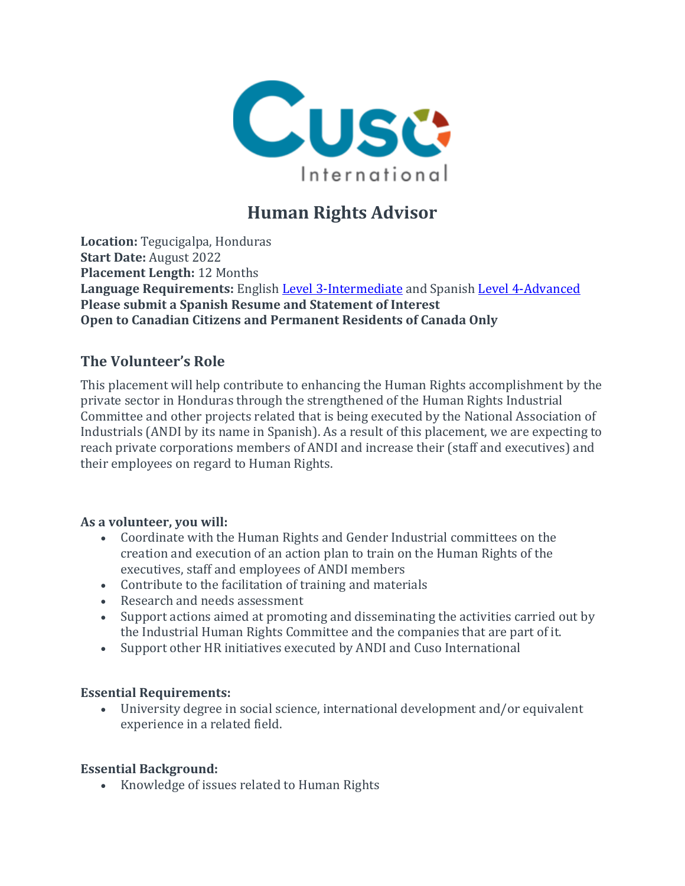

# **Human Rights Advisor**

**Location:** Tegucigalpa, Honduras **Start Date:** August 2022 **Placement Length:** 12 Months **Language Requirements:** English Level [3-Intermediate](https://apply.cusointernational.org/language-requirements/) and Spanish Level [4-Advanced](https://apply.cusointernational.org/language-requirements/) **Please submit a Spanish Resume and Statement of Interest Open to Canadian Citizens and Permanent Residents of Canada Only**

## **The Volunteer's Role**

This placement will help contribute to enhancing the Human Rights accomplishment by the private sector in Honduras through the strengthened of the Human Rights Industrial Committee and other projects related that is being executed by the National Association of Industrials (ANDI by its name in Spanish). As a result of this placement, we are expecting to reach private corporations members of ANDI and increase their (staff and executives) and their employees on regard to Human Rights.

#### **As a volunteer, you will:**

- Coordinate with the Human Rights and Gender Industrial committees on the creation and execution of an action plan to train on the Human Rights of the executives, staff and employees of ANDI members
- Contribute to the facilitation of training and materials
- Research and needs assessment
- Support actions aimed at promoting and disseminating the activities carried out by the Industrial Human Rights Committee and the companies that are part of it.
- Support other HR initiatives executed by ANDI and Cuso International

#### **Essential Requirements:**

• University degree in social science, international development and/or equivalent experience in a related field.

#### **Essential Background:**

• Knowledge of issues related to Human Rights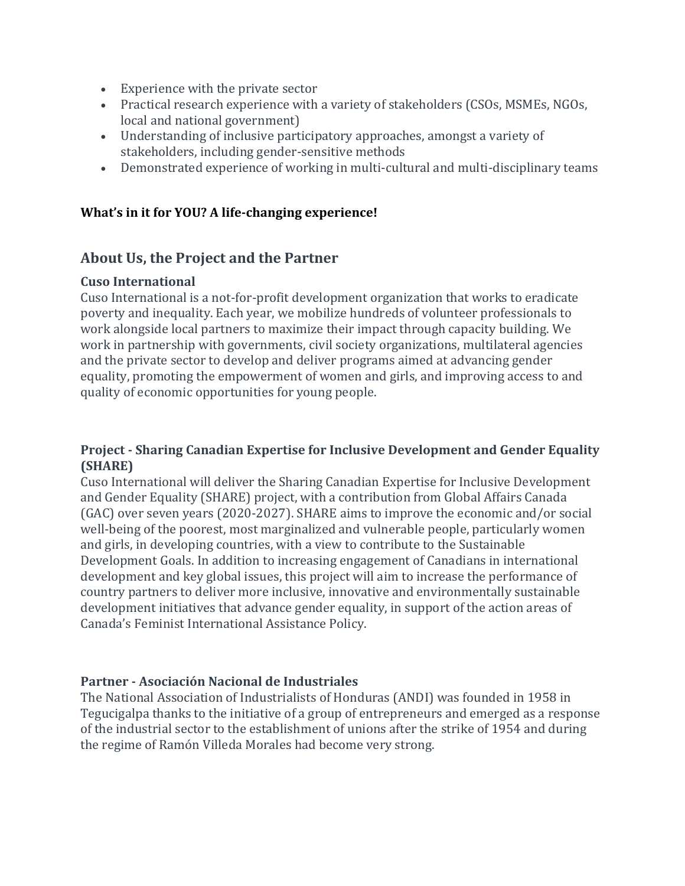- Experience with the private sector
- Practical research experience with a variety of stakeholders (CSOs, MSMEs, NGOs, local and national government)
- Understanding of inclusive participatory approaches, amongst a variety of stakeholders, including gender-sensitive methods
- Demonstrated experience of working in multi-cultural and multi-disciplinary teams

#### **What's in it for YOU? A life-changing experience!**

### **About Us, the Project and the Partner**

#### **Cuso International**

Cuso International is a not-for-profit development organization that works to eradicate poverty and inequality. Each year, we mobilize hundreds of volunteer professionals to work alongside local partners to maximize their impact through capacity building. We work in partnership with governments, civil society organizations, multilateral agencies and the private sector to develop and deliver programs aimed at advancing gender equality, promoting the empowerment of women and girls, and improving access to and quality of economic opportunities for young people.

#### **Project - Sharing Canadian Expertise for Inclusive Development and Gender Equality (SHARE)**

Cuso International will deliver the Sharing Canadian Expertise for Inclusive Development and Gender Equality (SHARE) project, with a contribution from Global Affairs Canada (GAC) over seven years (2020-2027). SHARE aims to improve the economic and/or social well-being of the poorest, most marginalized and vulnerable people, particularly women and girls, in developing countries, with a view to contribute to the Sustainable Development Goals. In addition to increasing engagement of Canadians in international development and key global issues, this project will aim to increase the performance of country partners to deliver more inclusive, innovative and environmentally sustainable development initiatives that advance gender equality, in support of the action areas of Canada's Feminist International Assistance Policy.

#### **Partner - Asociación Nacional de Industriales**

The National Association of Industrialists of Honduras (ANDI) was founded in 1958 in Tegucigalpa thanks to the initiative of a group of entrepreneurs and emerged as a response of the industrial sector to the establishment of unions after the strike of 1954 and during the regime of Ramón Villeda Morales had become very strong.